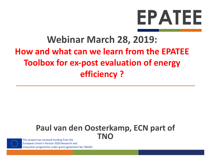# EPATEE

# **Webinar March 28, 2019: How and what can we learn from the EPATEE Toolbox for ex-post evaluation of energy efficiency ?**

### Paul van den Oosterkamp, ECN part of **TNO**



This project has received funding from the European Union's Horizon 2020 Research and innovation programme under grant agreement No 746265.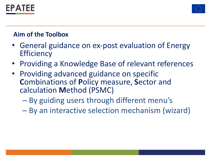



#### **Aim of the Toolbox**

- General guidance on ex-post evaluation of Energy **Efficiency**
- Providing a Knowledge Base of relevant references
- Providing advanced guidance on specific **C**ombinations of **P**olicy measure, **S**ector and calculation **M**ethod (PSMC)
	- By guiding users through different menu's
	- By an interactive selection mechanism (wizard)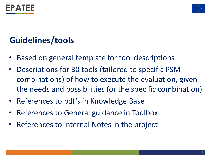



# **Guidelines/tools**

- Based on general template for tool descriptions
- Descriptions for 30 tools (tailored to specific PSM combinations) of how to execute the evaluation, given the needs and possibilities for the specific combination)
- References to pdf's in Knowledge Base
- References to General guidance in Toolbox
- References to internal Notes in the project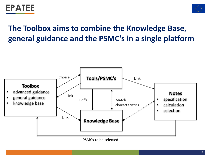



## **The Toolbox aims to combine the Knowledge Base, general guidance and the PSMC's in a single platform**

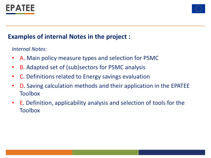



#### **Examples of internal Notes in the project :**

*Internal Notes:*

- A. Main policy measure types and selection for PSMC
- B. Adapted set of (sub)sectors for PSMC analysis
- C. Definitions related to Energy savings evaluation
- D. Saving calculation methods and their application in the EPATEE Toolbox
- E. Definition, applicability analysis and selection of tools for the Toolbox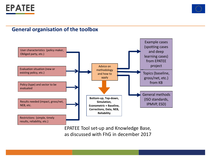



#### **General organisation of the toolbox**



EPATEE Tool set-up and Knowledge Base, as discussed with FhG in december 2017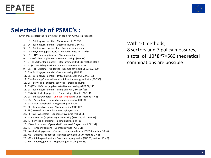



#### Selected list of PSMC's :

Given these criteria the following set of tools for PSMC's is proposed:

- 1. LN Buildings/residential Measurement (PDF 55)
- 2. LN Buildings/residential Deemed savings (PDF 97)
- 3. LN Buildings/non-residential Engineering estimate
- 4. LN HH/Other (appliances) Deemed savings (PDF 16/38)
- 5. LN HH/Other (appliances) Stock modeling
- 6. LI HH/Other (appliances) Deemed savings (PDF 38)
- 7. LI HH/Other (appliances) Measurement (PDF 58, method  $10 > 1$ )
- 8. GS (FT) Buildings/residential Measurement (PDF 20)
- 9. GS (FT) Buildings/residential Deemed savings (PDF 52/102/109)
- 10. GS Buildings/residential Stock modeling (PDF 23)
- 11. GS Buildings/residential Diffusion indicator (PDF 22/73/136)
- 12. GS Buildings/non-residential Subsector energy indicator (PDF 53)
- 13. GS Services-ex-buildings (devices) Deemed savings
- 14. GS (FT)- HH/Other (appliances) Deemed savings (PDF 38/175)
- 15. GS-Buildings/residential Billing analysis (PDF 116/135)
- 16. GS (VA) Industry/specific Engineering estimate (PDF 118)
- 17.  $GS$  Industry/general Unit consumption (PDF 56, method  $4 > 8$ )
- 18.  $GS Agriculture$ ) Subsector energy indicator (PDF 40)
- 19.  $GS Transport/freight Engineering$  estimate
- 20. FT Transport/persons Stock modeling (PDF 147)
- 21. FT (tax)  $-$  All sectors  $-$  Econometric/Regression
- 22. FT (tax) All sectors Econometric/elasticity (PDF 68)
- 23. IE  $-$  HH/Other (appliances)  $-$  Measuring (PDF 108, also PDF 58)
- 24. IE  $-$  Services-ex-buildings  $-$  Billing analysis (PDF 25)
- 25. IE (audit) Industry/general Econometric/regression (PDF 132)
- 26. IE Transport/persons Deemed savings (PDF 111)
- 27. VA Industry/general  $\overline{\phantom{a}}$  Subsector energy indicator (PDF 35, method 10 > 8)
- 28. MB Building/residential Deemed savings (PDF 70, method  $2 > 3$ )
- 29. MB Building/residential Econometric/regression (PDF 51, method  $10 > 9$ )
- 30. MB Industry/general Engineering estimate (PDF 83)

With 10 methods, 8 sectors and 7 policy measures, a total of  $10*8*7=560$  theoretical combinations are possible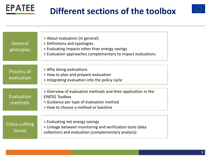



| General<br>principles          | > About evaluation (in general)<br>> Definitions and typologies<br>> Evaluating impacts other than energy savings<br>> Evaluation approaches complementary to impact evaluations |
|--------------------------------|----------------------------------------------------------------------------------------------------------------------------------------------------------------------------------|
| Process of<br>evaluation       | > Why doing evaluations<br>> How to plan and prepare evaluation<br>> Integrating evaluation into the policy cycle                                                                |
| Evaluation<br>methods          | > Overview of evaluation methods and their application in the<br><b>EPATEE Toolbox</b><br>> Guidance per type of evaluation method<br>> How to choose a method or baseline       |
| Cross-cutting<br><i>issues</i> | > Evaluating net energy savings<br>> Linkage between monitoring and verification tools (data<br>collection) and evaluation (complementary analysis)                              |